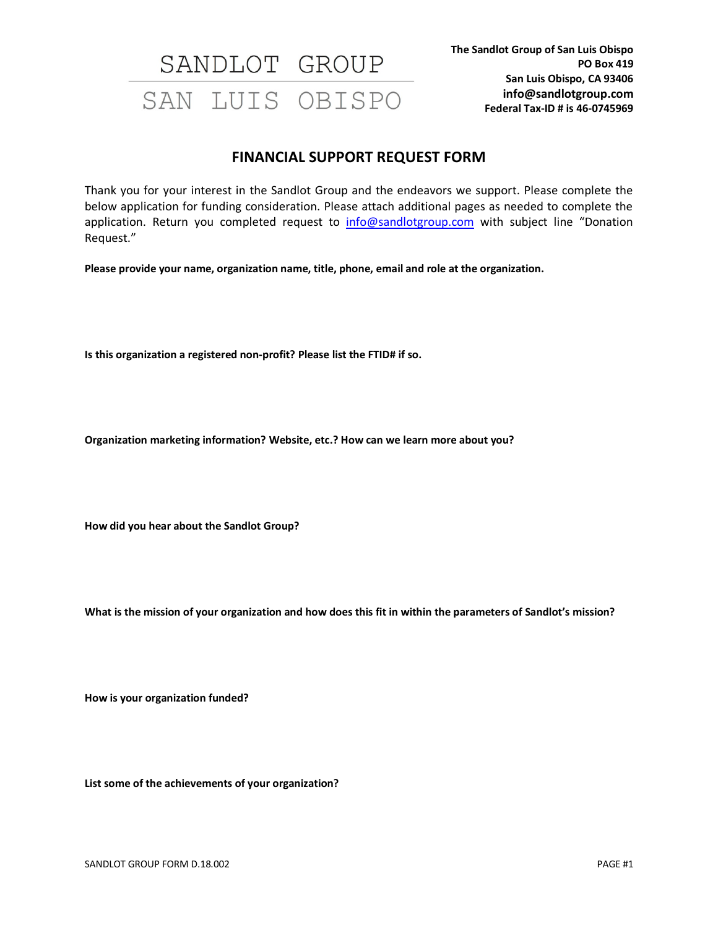#### **FINANCIAL SUPPORT REQUEST FORM**

Thank you for your interest in the Sandlot Group and the endeavors we support. Please complete the below application for funding consideration. Please attach additional pages as needed to complete the application. Return you completed request to info@sandlotgroup.com with subject line "Donation Request."

**Please provide your name, organization name, title, phone, email and role at the organization.**

**Is this organization a registered non-profit? Please list the FTID# if so.**

**Organization marketing information? Website, etc.? How can we learn more about you?**

**How did you hear about the Sandlot Group?**

**What is the mission of your organization and how does this fit in within the parameters of Sandlot's mission?**

**How is your organization funded?**

**List some of the achievements of your organization?**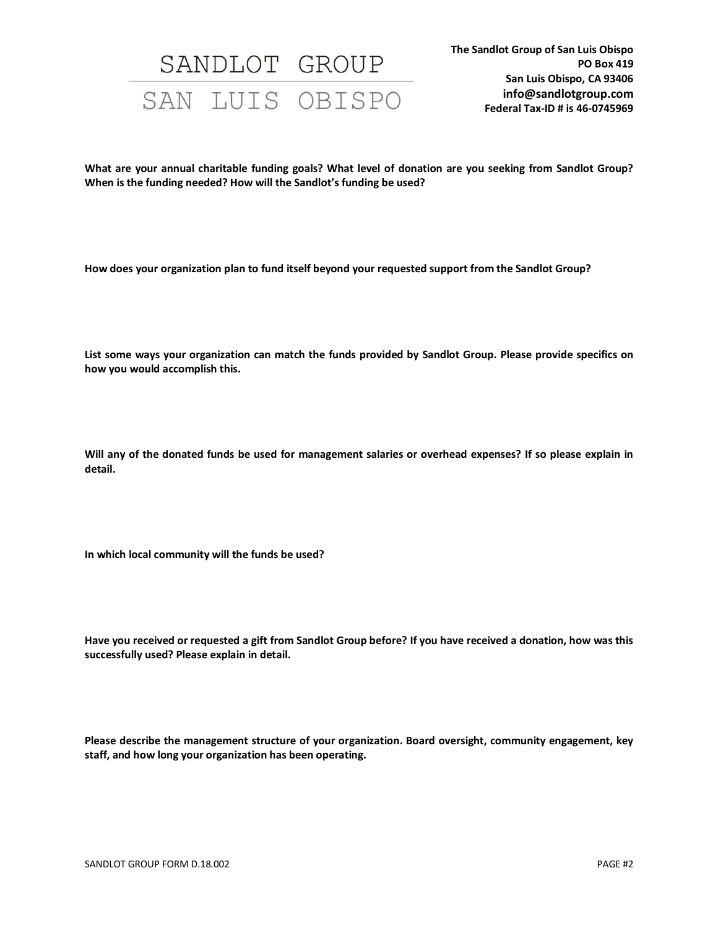**What are your annual charitable funding goals? What level of donation are you seeking from Sandlot Group? When is the funding needed? How will the Sandlot's funding be used?**

**How does your organization plan to fund itself beyond your requested support from the Sandlot Group?**

**List some ways your organization can match the funds provided by Sandlot Group. Please provide specifics on how you would accomplish this.**

**Will any of the donated funds be used for management salaries or overhead expenses? If so please explain in detail.**

**In which local community will the funds be used?**

**Have you received or requested a gift from Sandlot Group before? If you have received a donation, how was this successfully used? Please explain in detail.**

**Please describe the management structure of your organization. Board oversight, community engagement, key staff, and how long your organization has been operating.**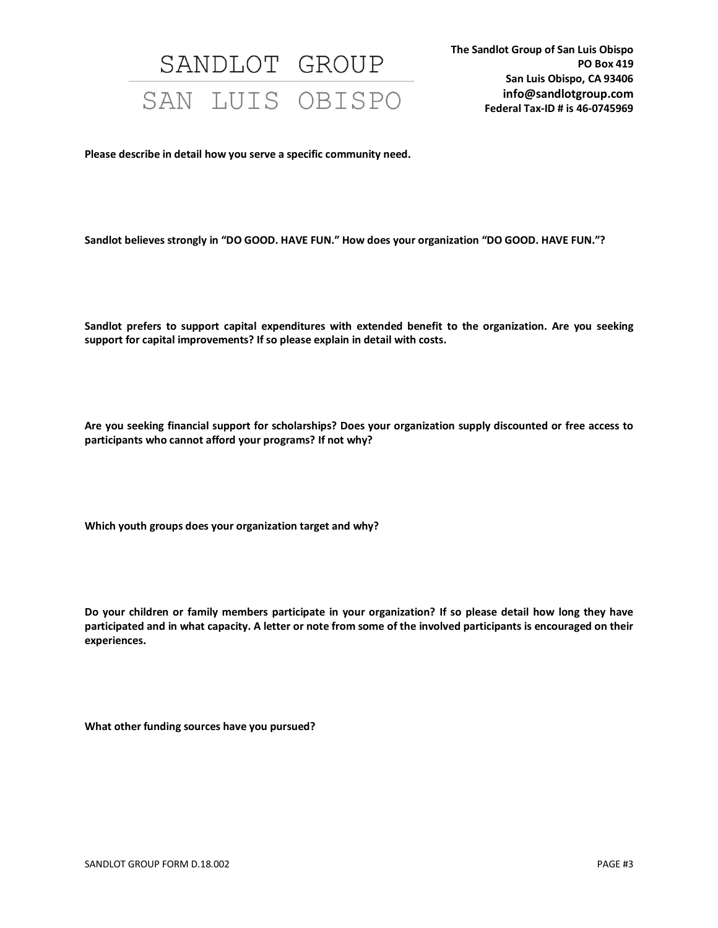**Please describe in detail how you serve a specific community need.**

**Sandlot believes strongly in "DO GOOD. HAVE FUN." How does your organization "DO GOOD. HAVE FUN."?**

**Sandlot prefers to support capital expenditures with extended benefit to the organization. Are you seeking support for capital improvements? If so please explain in detail with costs.**

**Are you seeking financial support for scholarships? Does your organization supply discounted or free access to participants who cannot afford your programs? If not why?** 

**Which youth groups does your organization target and why?**

**Do your children or family members participate in your organization? If so please detail how long they have participated and in what capacity. A letter or note from some of the involved participants is encouraged on their experiences.**

**What other funding sources have you pursued?**